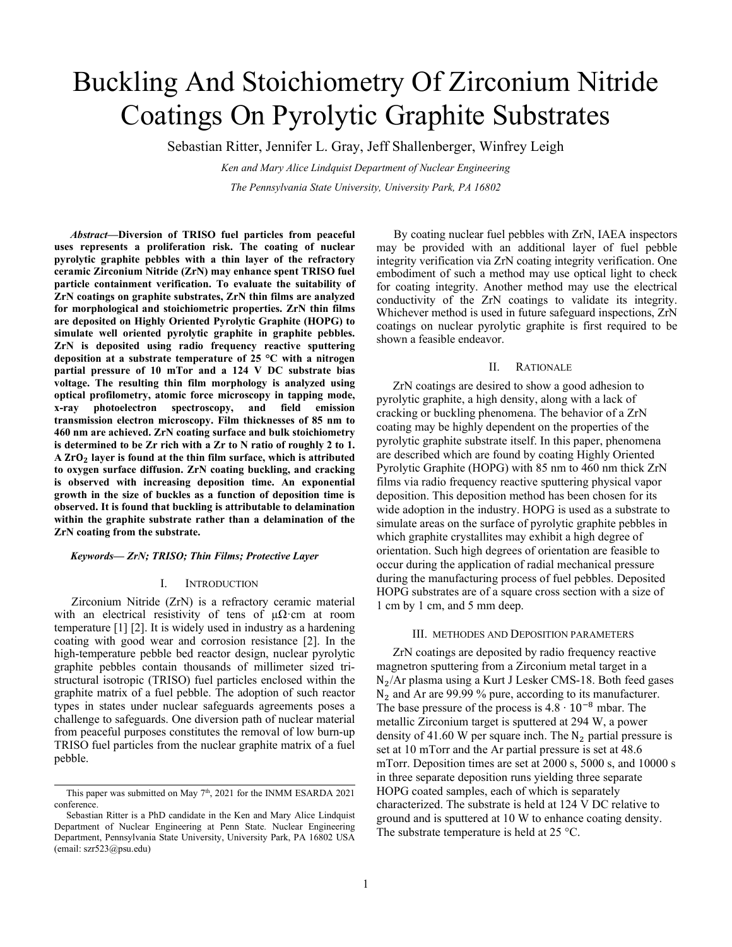# Buckling And Stoichiometry Of Zirconium Nitride Coatings On Pyrolytic Graphite Substrates

Sebastian Ritter, Jennifer L. Gray, Jeff Shallenberger, Winfrey Leigh

*Ken and Mary Alice Lindquist Department of Nuclear Engineering The Pennsylvania State University, University Park, PA 16802*

*Abstract***—Diversion of TRISO fuel particles from peaceful uses represents a proliferation risk. The coating of nuclear pyrolytic graphite pebbles with a thin layer of the refractory ceramic Zirconium Nitride (ZrN) may enhance spent TRISO fuel particle containment verification. To evaluate the suitability of ZrN coatings on graphite substrates, ZrN thin films are analyzed for morphological and stoichiometric properties. ZrN thin films are deposited on Highly Oriented Pyrolytic Graphite (HOPG) to simulate well oriented pyrolytic graphite in graphite pebbles. ZrN is deposited using radio frequency reactive sputtering deposition at a substrate temperature of 25 °C with a nitrogen partial pressure of 10 mTor and a 124 V DC substrate bias voltage. The resulting thin film morphology is analyzed using optical profilometry, atomic force microscopy in tapping mode, x-ray photoelectron spectroscopy, and field emission transmission electron microscopy. Film thicknesses of 85 nm to 460 nm are achieved. ZrN coating surface and bulk stoichiometry is determined to be Zr rich with a Zr to N ratio of roughly 2 to 1. A layer is found at the thin film surface, which is attributed to oxygen surface diffusion. ZrN coating buckling, and cracking is observed with increasing deposition time. An exponential growth in the size of buckles as a function of deposition time is observed. It is found that buckling is attributable to delamination within the graphite substrate rather than a delamination of the ZrN coating from the substrate.**

## *Keywords— ZrN; TRISO; Thin Films; Protective Layer*

#### I. INTRODUCTION

Zirconium Nitride (ZrN) is a refractory ceramic material with an electrical resistivity of tens of  $\mu\Omega$ ·cm at room temperature [1] [2]. It is widely used in industry as a hardening coating with good wear and corrosion resistance [2]. In the high-temperature pebble bed reactor design, nuclear pyrolytic graphite pebbles contain thousands of millimeter sized tristructural isotropic (TRISO) fuel particles enclosed within the graphite matrix of a fuel pebble. The adoption of such reactor types in states under nuclear safeguards agreements poses a challenge to safeguards. One diversion path of nuclear material from peaceful purposes constitutes the removal of low burn-up TRISO fuel particles from the nuclear graphite matrix of a fuel pebble.

By coating nuclear fuel pebbles with ZrN, IAEA inspectors may be provided with an additional layer of fuel pebble integrity verification via ZrN coating integrity verification. One embodiment of such a method may use optical light to check for coating integrity. Another method may use the electrical conductivity of the ZrN coatings to validate its integrity. Whichever method is used in future safeguard inspections, ZrN coatings on nuclear pyrolytic graphite is first required to be shown a feasible endeavor.

# II. RATIONALE

ZrN coatings are desired to show a good adhesion to pyrolytic graphite, a high density, along with a lack of cracking or buckling phenomena. The behavior of a ZrN coating may be highly dependent on the properties of the pyrolytic graphite substrate itself. In this paper, phenomena are described which are found by coating Highly Oriented Pyrolytic Graphite (HOPG) with 85 nm to 460 nm thick ZrN films via radio frequency reactive sputtering physical vapor deposition. This deposition method has been chosen for its wide adoption in the industry. HOPG is used as a substrate to simulate areas on the surface of pyrolytic graphite pebbles in which graphite crystallites may exhibit a high degree of orientation. Such high degrees of orientation are feasible to occur during the application of radial mechanical pressure during the manufacturing process of fuel pebbles. Deposited HOPG substrates are of a square cross section with a size of 1 cm by 1 cm, and 5 mm deep.

#### III. METHODES AND DEPOSITION PARAMETERS

ZrN coatings are deposited by radio frequency reactive magnetron sputtering from a Zirconium metal target in a  $N_2/Ar$  plasma using a Kurt J Lesker CMS-18. Both feed gases N<sub>2</sub> and Ar are 99.99 % pure, according to its manufacturer. The base pressure of the process is  $4.8 \cdot 10^{-8}$  mbar. The metallic Zirconium target is sputtered at 294 W, a power density of 41.60 W per square inch. The  $N_2$  partial pressure is set at 10 mTorr and the Ar partial pressure is set at 48.6 mTorr. Deposition times are set at 2000 s, 5000 s, and 10000 s in three separate deposition runs yielding three separate HOPG coated samples, each of which is separately characterized. The substrate is held at 124 V DC relative to ground and is sputtered at 10 W to enhance coating density. The substrate temperature is held at 25 °C.

This paper was submitted on May 7<sup>th</sup>, 2021 for the INMM ESARDA 2021 conference.

Sebastian Ritter is a PhD candidate in the Ken and Mary Alice Lindquist Department of Nuclear Engineering at Penn State. Nuclear Engineering Department, Pennsylvania State University, University Park, PA 16802 USA (email: szr523@psu.edu)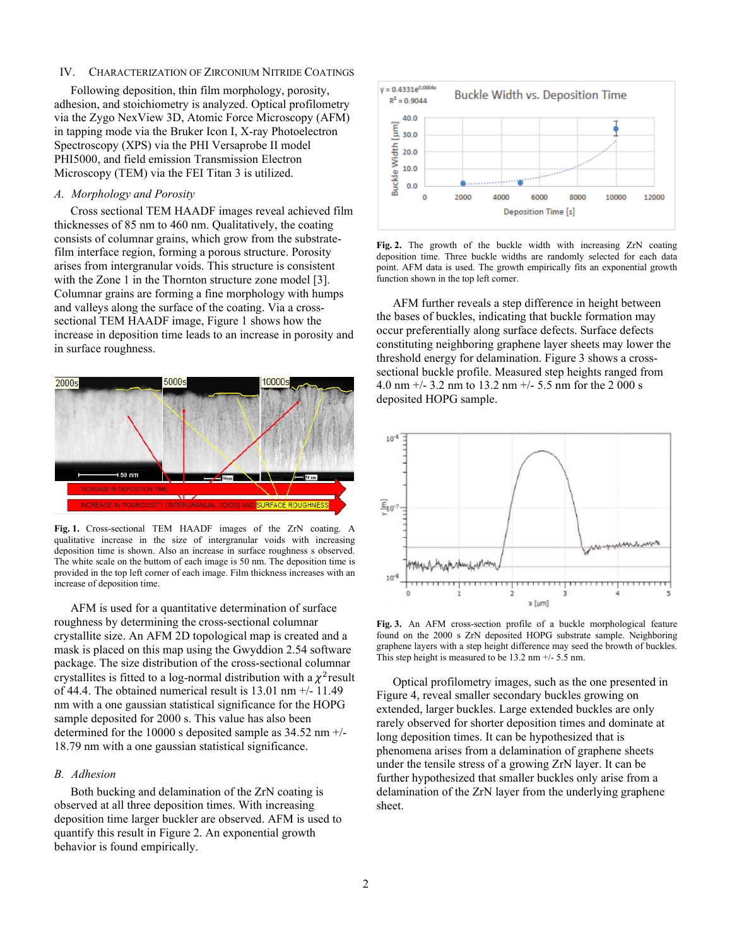# IV. CHARACTERIZATION OF ZIRCONIUM NITRIDE COATINGS

Following deposition, thin film morphology, porosity, adhesion, and stoichiometry is analyzed. Optical profilometry via the Zygo NexView 3D, Atomic Force Microscopy (AFM) in tapping mode via the Bruker Icon I, X-ray Photoelectron Spectroscopy (XPS) via the PHI Versaprobe II model PHI5000, and field emission Transmission Electron Microscopy (TEM) via the FEI Titan 3 is utilized.

## *A. Morphology and Porosity*

Cross sectional TEM HAADF images reveal achieved film thicknesses of 85 nm to 460 nm. Qualitatively, the coating consists of columnar grains, which grow from the substratefilm interface region, forming a porous structure. Porosity arises from intergranular voids. This structure is consistent with the Zone 1 in the Thornton structure zone model [3]. Columnar grains are forming a fine morphology with humps and valleys along the surface of the coating. Via a crosssectional TEM HAADF image, Figure 1 shows how the increase in deposition time leads to an increase in porosity and in surface roughness.



**Fig. 1.** Cross-sectional TEM HAADF images of the ZrN coating. A qualitative increase in the size of intergranular voids with increasing deposition time is shown. Also an increase in surface roughness s observed. The white scale on the buttom of each image is 50 nm. The deposition time is provided in the top left corner of each image. Film thickness increases with an increase of deposition time.

AFM is used for a quantitative determination of surface roughness by determining the cross-sectional columnar crystallite size. An AFM 2D topological map is created and a mask is placed on this map using the Gwyddion 2.54 software package. The size distribution of the cross-sectional columnar crystallites is fitted to a log-normal distribution with a  $\chi^2$  result of 44.4. The obtained numerical result is  $13.01$  nm  $+/$ -  $11.49$ nm with a one gaussian statistical significance for the HOPG sample deposited for 2000 s. This value has also been determined for the 10000 s deposited sample as 34.52 nm +/- 18.79 nm with a one gaussian statistical significance.

# *B. Adhesion*

Both bucking and delamination of the ZrN coating is observed at all three deposition times. With increasing deposition time larger buckler are observed. AFM is used to quantify this result in Figure 2. An exponential growth behavior is found empirically.



**Fig. 2.** The growth of the buckle width with increasing ZrN coating deposition time. Three buckle widths are randomly selected for each data point. AFM data is used. The growth empirically fits an exponential growth function shown in the top left corner.

AFM further reveals a step difference in height between the bases of buckles, indicating that buckle formation may occur preferentially along surface defects. Surface defects constituting neighboring graphene layer sheets may lower the threshold energy for delamination. Figure 3 shows a crosssectional buckle profile. Measured step heights ranged from 4.0 nm  $+/- 3.2$  nm to 13.2 nm  $+/- 5.5$  nm for the 2 000 s deposited HOPG sample.



**Fig. 3.** An AFM cross-section profile of a buckle morphological feature found on the 2000 s ZrN deposited HOPG substrate sample. Neighboring graphene layers with a step height difference may seed the browth of buckles. This step height is measured to be 13.2 nm +/- 5.5 nm.

Optical profilometry images, such as the one presented in Figure 4, reveal smaller secondary buckles growing on extended, larger buckles. Large extended buckles are only rarely observed for shorter deposition times and dominate at long deposition times. It can be hypothesized that is phenomena arises from a delamination of graphene sheets under the tensile stress of a growing ZrN layer. It can be further hypothesized that smaller buckles only arise from a delamination of the ZrN layer from the underlying graphene sheet.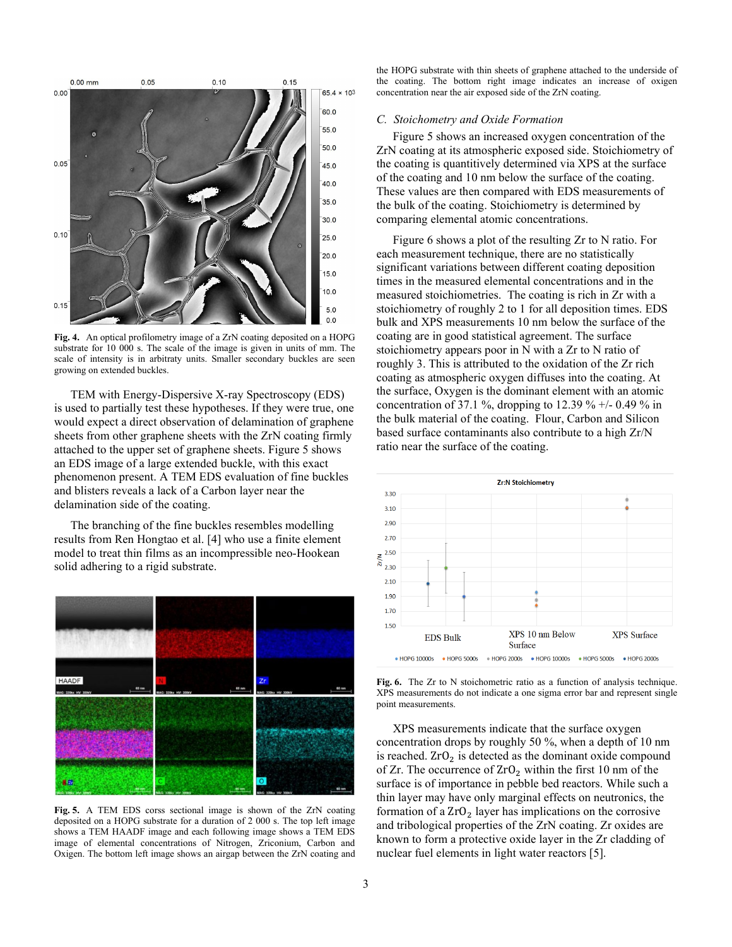

**Fig. 4.** An optical profilometry image of a ZrN coating deposited on a HOPG substrate for 10 000 s. The scale of the image is given in units of mm. The scale of intensity is in arbitraty units. Smaller secondary buckles are seen growing on extended buckles.

TEM with Energy-Dispersive X-ray Spectroscopy (EDS) is used to partially test these hypotheses. If they were true, one would expect a direct observation of delamination of graphene sheets from other graphene sheets with the ZrN coating firmly attached to the upper set of graphene sheets. Figure 5 shows an EDS image of a large extended buckle, with this exact phenomenon present. A TEM EDS evaluation of fine buckles and blisters reveals a lack of a Carbon layer near the delamination side of the coating.

The branching of the fine buckles resembles modelling results from Ren Hongtao et al. [4] who use a finite element model to treat thin films as an incompressible neo-Hookean solid adhering to a rigid substrate.



**Fig. 5.** A TEM EDS corss sectional image is shown of the ZrN coating deposited on a HOPG substrate for a duration of 2 000 s. The top left image shows a TEM HAADF image and each following image shows a TEM EDS image of elemental concentrations of Nitrogen, Zriconium, Carbon and Oxigen. The bottom left image shows an airgap between the ZrN coating and

the HOPG substrate with thin sheets of graphene attached to the underside of the coating. The bottom right image indicates an increase of oxigen concentration near the air exposed side of the ZrN coating.

#### *C. Stoichometry and Oxide Formation*

Figure 5 shows an increased oxygen concentration of the ZrN coating at its atmospheric exposed side. Stoichiometry of the coating is quantitively determined via XPS at the surface of the coating and 10 nm below the surface of the coating. These values are then compared with EDS measurements of the bulk of the coating. Stoichiometry is determined by comparing elemental atomic concentrations.

Figure 6 shows a plot of the resulting Zr to N ratio. For each measurement technique, there are no statistically significant variations between different coating deposition times in the measured elemental concentrations and in the measured stoichiometries. The coating is rich in Zr with a stoichiometry of roughly 2 to 1 for all deposition times. EDS bulk and XPS measurements 10 nm below the surface of the coating are in good statistical agreement. The surface stoichiometry appears poor in N with a Zr to N ratio of roughly 3. This is attributed to the oxidation of the Zr rich coating as atmospheric oxygen diffuses into the coating. At the surface, Oxygen is the dominant element with an atomic concentration of 37.1 %, dropping to 12.39 % +/- 0.49 % in the bulk material of the coating. Flour, Carbon and Silicon based surface contaminants also contribute to a high Zr/N ratio near the surface of the coating.



**Fig. 6.** The Zr to N stoichometric ratio as a function of analysis technique. XPS measurements do not indicate a one sigma error bar and represent single point measurements.

XPS measurements indicate that the surface oxygen concentration drops by roughly 50 %, when a depth of 10 nm is reached.  $ZrO<sub>2</sub>$  is detected as the dominant oxide compound of Zr. The occurrence of  $ZrO<sub>2</sub>$  within the first 10 nm of the surface is of importance in pebble bed reactors. While such a thin layer may have only marginal effects on neutronics, the formation of a  $ZrO<sub>2</sub>$  layer has implications on the corrosive and tribological properties of the ZrN coating. Zr oxides are known to form a protective oxide layer in the Zr cladding of nuclear fuel elements in light water reactors [5].